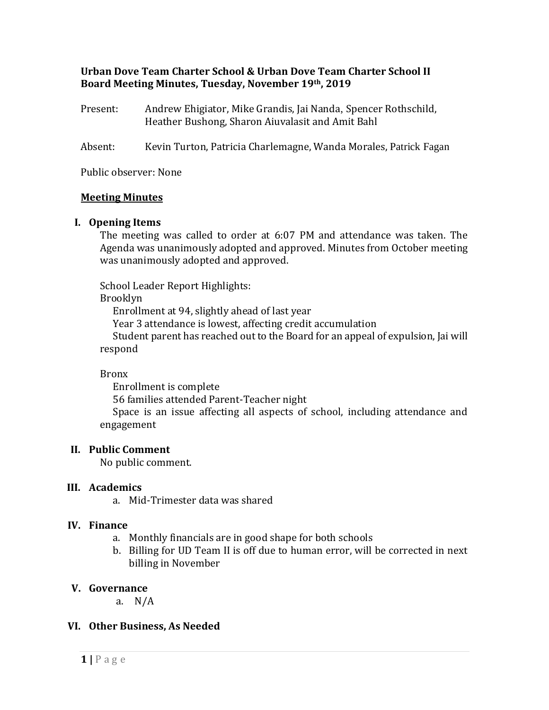#### **Urban Dove Team Charter School & Urban Dove Team Charter School II Board Meeting Minutes, Tuesday, November 19th, 2019**

- Present: Andrew Ehigiator, Mike Grandis, Jai Nanda, Spencer Rothschild, Heather Bushong, Sharon Aiuvalasit and Amit Bahl
- Absent: Kevin Turton, Patricia Charlemagne, Wanda Morales, Patrick Fagan

Public observer: None

#### **Meeting Minutes**

#### **I. Opening Items**

The meeting was called to order at 6:07 PM and attendance was taken. The Agenda was unanimously adopted and approved. Minutes from October meeting was unanimously adopted and approved.

School Leader Report Highlights:

Brooklyn

Enrollment at 94, slightly ahead of last year

Year 3 attendance is lowest, affecting credit accumulation

Student parent has reached out to the Board for an appeal of expulsion, Jai will respond

Bronx

Enrollment is complete 56 families attended Parent-Teacher night Space is an issue affecting all aspects of school, including attendance and engagement

# **II. Public Comment**

No public comment.

# **III. Academics**

a. Mid-Trimester data was shared

# **IV. Finance**

- a. Monthly financials are in good shape for both schools
- b. Billing for UD Team II is off due to human error, will be corrected in next billing in November

# **V. Governance**

a. N/A

# **VI. Other Business, As Needed**